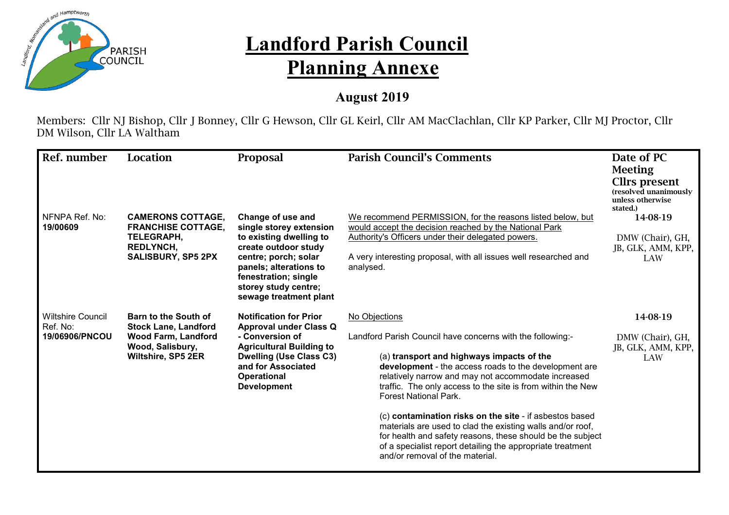

## **Landford Parish Council Planning Annexe**

## **August 2019**

Members: Cllr NJ Bishop, Cllr J Bonney, Cllr G Hewson, Cllr GL Keirl, Cllr AM MacClachlan, Cllr KP Parker, Cllr MJ Proctor, Cllr DM Wilson, Cllr LA Waltham

| Ref. number                                            | Location                                                                                                                           | Proposal                                                                                                                                                                                                                    | <b>Parish Council's Comments</b>                                                                                                                                                                                                                                                                                                                                                                                                                                 | Date of PC<br><b>Meeting</b><br><b>Cllrs</b> present<br>(resolved unanimously<br>unless otherwise<br>stated.) |
|--------------------------------------------------------|------------------------------------------------------------------------------------------------------------------------------------|-----------------------------------------------------------------------------------------------------------------------------------------------------------------------------------------------------------------------------|------------------------------------------------------------------------------------------------------------------------------------------------------------------------------------------------------------------------------------------------------------------------------------------------------------------------------------------------------------------------------------------------------------------------------------------------------------------|---------------------------------------------------------------------------------------------------------------|
| NFNPA Ref. No:<br>19/00609                             | <b>CAMERONS COTTAGE,</b><br><b>FRANCHISE COTTAGE,</b><br>TELEGRAPH,<br><b>REDLYNCH,</b><br><b>SALISBURY, SP5 2PX</b>               | Change of use and<br>single storey extension<br>to existing dwelling to<br>create outdoor study<br>centre; porch; solar<br>panels; alterations to<br>fenestration; single<br>storey study centre;<br>sewage treatment plant | We recommend PERMISSION, for the reasons listed below, but<br>would accept the decision reached by the National Park<br>Authority's Officers under their delegated powers.<br>A very interesting proposal, with all issues well researched and<br>analysed.                                                                                                                                                                                                      | 14-08-19<br>DMW (Chair), GH,<br>JB, GLK, AMM, KPP,<br>LAW                                                     |
| <b>Wiltshire Council</b><br>Ref. No:<br>19/06906/PNCOU | <b>Barn to the South of</b><br><b>Stock Lane, Landford</b><br><b>Wood Farm, Landford</b><br>Wood, Salisbury,<br>Wiltshire, SP5 2ER | <b>Notification for Prior</b><br><b>Approval under Class Q</b><br>- Conversion of<br><b>Agricultural Building to</b><br><b>Dwelling (Use Class C3)</b><br>and for Associated<br><b>Operational</b><br><b>Development</b>    | No Objections<br>Landford Parish Council have concerns with the following:-<br>(a) transport and highways impacts of the<br>development - the access roads to the development are<br>relatively narrow and may not accommodate increased<br>traffic. The only access to the site is from within the New<br><b>Forest National Park.</b><br>(c) contamination risks on the site - if asbestos based<br>materials are used to clad the existing walls and/or roof, | 14-08-19<br>DMW (Chair), GH,<br>JB, GLK, AMM, KPP,<br>LAW                                                     |
|                                                        |                                                                                                                                    |                                                                                                                                                                                                                             | for health and safety reasons, these should be the subject<br>of a specialist report detailing the appropriate treatment<br>and/or removal of the material.                                                                                                                                                                                                                                                                                                      |                                                                                                               |